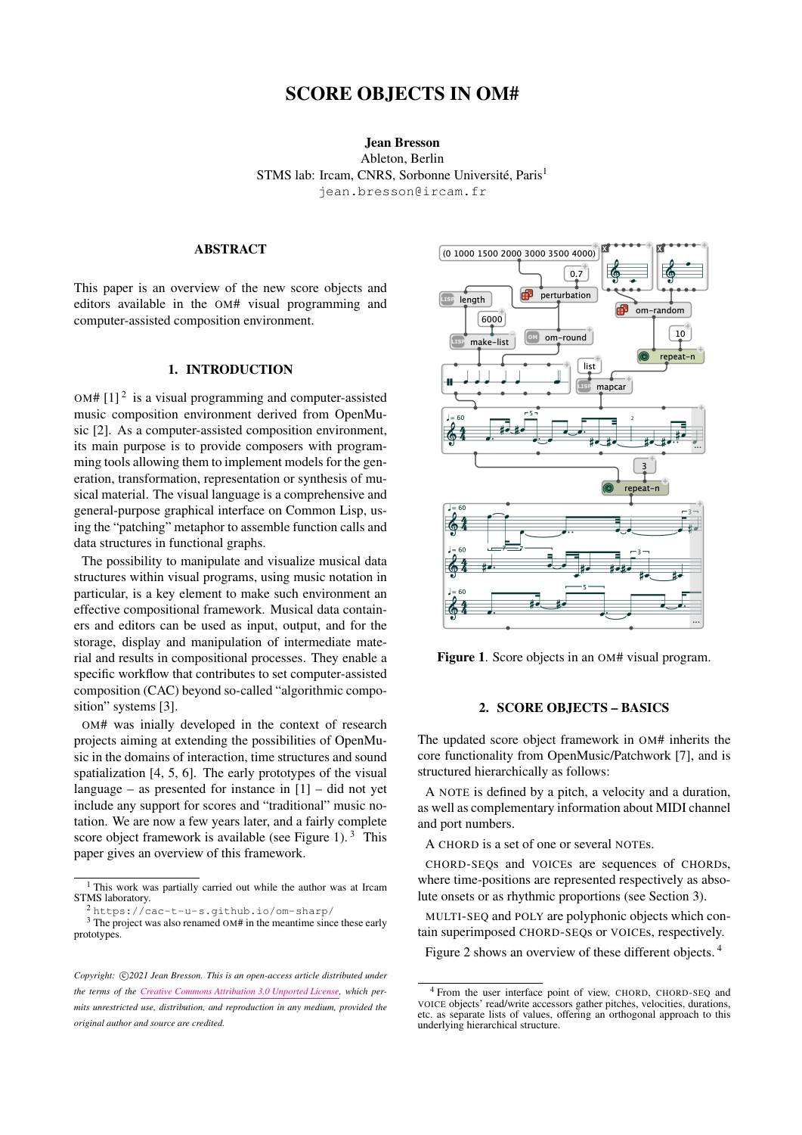# SCORE OBJECTS IN OM#

# Jean Bresson Ableton, Berlin STMS lab: Ircam, CNRS, Sorbonne Université, Paris<sup>1</sup> [jean.bresson@ircam.fr](mailto:jean.bresson@ircam.fr)

## ABSTRACT

This paper is an overview of the new score objects and editors available in the OM# visual programming and computer-assisted composition environment.

# 1. INTRODUCTION

OM#  $[1]^2$  $[1]^2$  $[1]^2$  is a visual programming and computer-assisted music composition environment derived from OpenMusic [\[2\]](#page-4-1). As a computer-assisted composition environment, its main purpose is to provide composers with programming tools allowing them to implement models for the generation, transformation, representation or synthesis of musical material. The visual language is a comprehensive and general-purpose graphical interface on Common Lisp, using the "patching" metaphor to assemble function calls and data structures in functional graphs.

The possibility to manipulate and visualize musical data structures within visual programs, using music notation in particular, is a key element to make such environment an effective compositional framework. Musical data containers and editors can be used as input, output, and for the storage, display and manipulation of intermediate material and results in compositional processes. They enable a specific workflow that contributes to set computer-assisted composition (CAC) beyond so-called "algorithmic composition" systems [\[3\]](#page-4-2).

OM# was inially developed in the context of research projects aiming at extending the possibilities of OpenMusic in the domains of interaction, time structures and sound spatialization [\[4,](#page-4-3) [5,](#page-4-4) [6\]](#page-4-5). The early prototypes of the visual language – as presented for instance in  $[1]$  – did not yet include any support for scores and "traditional" music notation. We are now a few years later, and a fairly complete score object framework is available (see Figure [1\)](#page-0-1).<sup>[3](#page-0-2)</sup> This paper gives an overview of this framework.

<span id="page-0-1"></span>

Figure 1. Score objects in an OM# visual program.

## 2. SCORE OBJECTS – BASICS

The updated score object framework in OM# inherits the core functionality from OpenMusic/Patchwork [\[7\]](#page-4-6), and is structured hierarchically as follows:

A NOTE is defined by a pitch, a velocity and a duration, as well as complementary information about MIDI channel and port numbers.

A CHORD is a set of one or several NOTEs.

CHORD-SEQs and VOICEs are sequences of CHORDs, where time-positions are represented respectively as absolute onsets or as rhythmic proportions (see Section [3\)](#page-1-0).

MULTI-SEQ and POLY are polyphonic objects which contain superimposed CHORD-SEQs or VOICEs, respectively.

Figure [2](#page-1-1) shows an overview of these different objects.<sup>[4](#page-0-3)</sup>

<sup>1</sup> This work was partially carried out while the author was at Ircam STMS laboratory.

<span id="page-0-2"></span><span id="page-0-0"></span><sup>2</sup> <https://cac-t-u-s.github.io/om-sharp/>

 $3$  The project was also renamed OM# in the meantime since these early prototypes.

Copyright:  $\bigcirc$ 2021 Jean Bresson. This is an open-access article distributed under *the terms of the [Creative Commons Attribution 3.0 Unported License,](http://creativecommons.org/licenses/by/3.0/) which permits unrestricted use, distribution, and reproduction in any medium, provided the original author and source are credited.*

<span id="page-0-3"></span><sup>4</sup> From the user interface point of view, CHORD, CHORD-SEQ and VOICE objects' read/write accessors gather pitches, velocities, durations, etc. as separate lists of values, offering an orthogonal approach to this underlying hierarchical structure.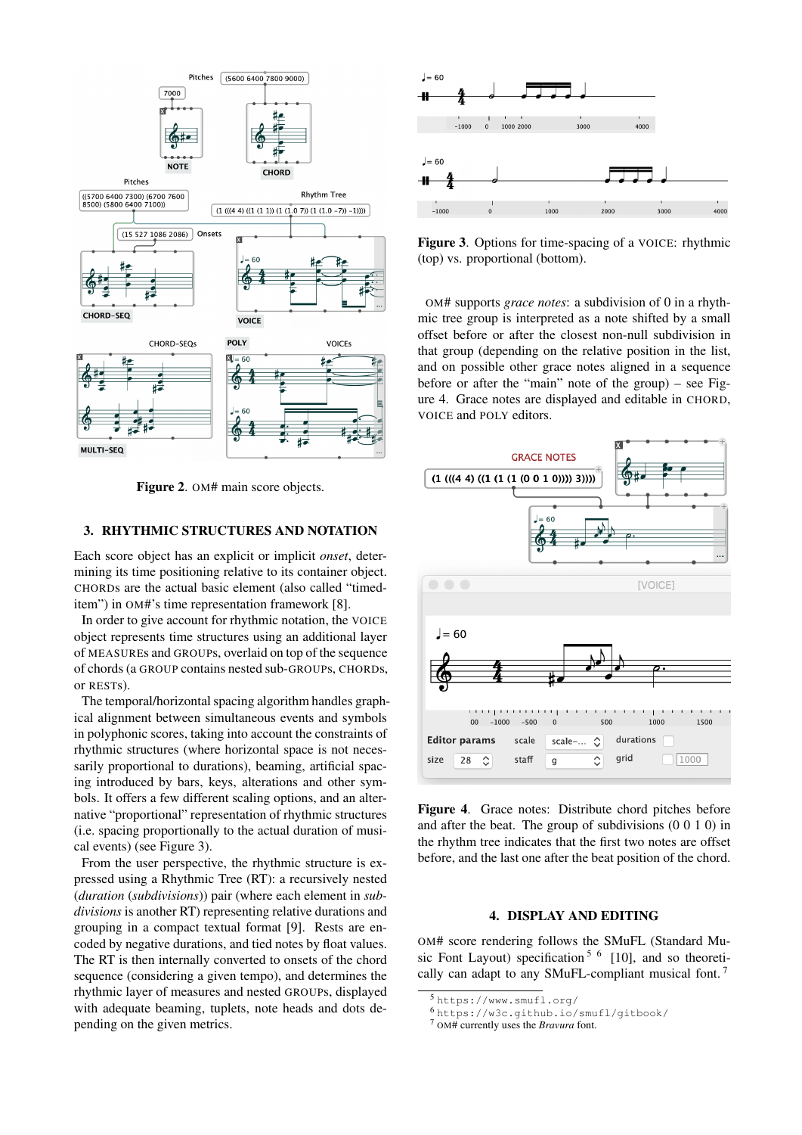<span id="page-1-1"></span>

Figure 2. OM# main score objects.

## <span id="page-1-0"></span>3. RHYTHMIC STRUCTURES AND NOTATION

Each score object has an explicit or implicit *onset*, determining its time positioning relative to its container object. CHORDs are the actual basic element (also called "timeditem") in OM#'s time representation framework [\[8\]](#page-4-7).

In order to give account for rhythmic notation, the VOICE object represents time structures using an additional layer of MEASUREs and GROUPs, overlaid on top of the sequence of chords (a GROUP contains nested sub-GROUPs, CHORDs, or RESTs).

The temporal/horizontal spacing algorithm handles graphical alignment between simultaneous events and symbols in polyphonic scores, taking into account the constraints of rhythmic structures (where horizontal space is not necessarily proportional to durations), beaming, artificial spacing introduced by bars, keys, alterations and other symbols. It offers a few different scaling options, and an alternative "proportional" representation of rhythmic structures (i.e. spacing proportionally to the actual duration of musical events) (see Figure [3\)](#page-1-2).

From the user perspective, the rhythmic structure is expressed using a Rhythmic Tree (RT): a recursively nested (*duration* (*subdivisions*)) pair (where each element in *subdivisions* is another RT) representing relative durations and grouping in a compact textual format [\[9\]](#page-4-8). Rests are encoded by negative durations, and tied notes by float values. The RT is then internally converted to onsets of the chord sequence (considering a given tempo), and determines the rhythmic layer of measures and nested GROUPs, displayed with adequate beaming, tuplets, note heads and dots depending on the given metrics.

<span id="page-1-2"></span>

Figure 3. Options for time-spacing of a VOICE: rhythmic (top) vs. proportional (bottom).

OM# supports *grace notes*: a subdivision of 0 in a rhythmic tree group is interpreted as a note shifted by a small offset before or after the closest non-null subdivision in that group (depending on the relative position in the list, and on possible other grace notes aligned in a sequence before or after the "main" note of the group) – see Figure [4.](#page-1-3) Grace notes are displayed and editable in CHORD, VOICE and POLY editors.

<span id="page-1-3"></span>

Figure 4. Grace notes: Distribute chord pitches before and after the beat. The group of subdivisions (0 0 1 0) in the rhythm tree indicates that the first two notes are offset before, and the last one after the beat position of the chord.

# 4. DISPLAY AND EDITING

OM# score rendering follows the SMuFL (Standard Mu-sic Font Layout) specification<sup>[5](#page-1-4) [6](#page-1-5)</sup> [\[10\]](#page-4-9), and so theoretically can adapt to any SMuFL-compliant musical font. [7](#page-1-6)

<span id="page-1-4"></span><sup>5</sup> <https://www.smufl.org/>

<span id="page-1-5"></span><sup>6</sup> <https://w3c.github.io/smufl/gitbook/>

<span id="page-1-6"></span><sup>7</sup> OM# currently uses the *Bravura* font.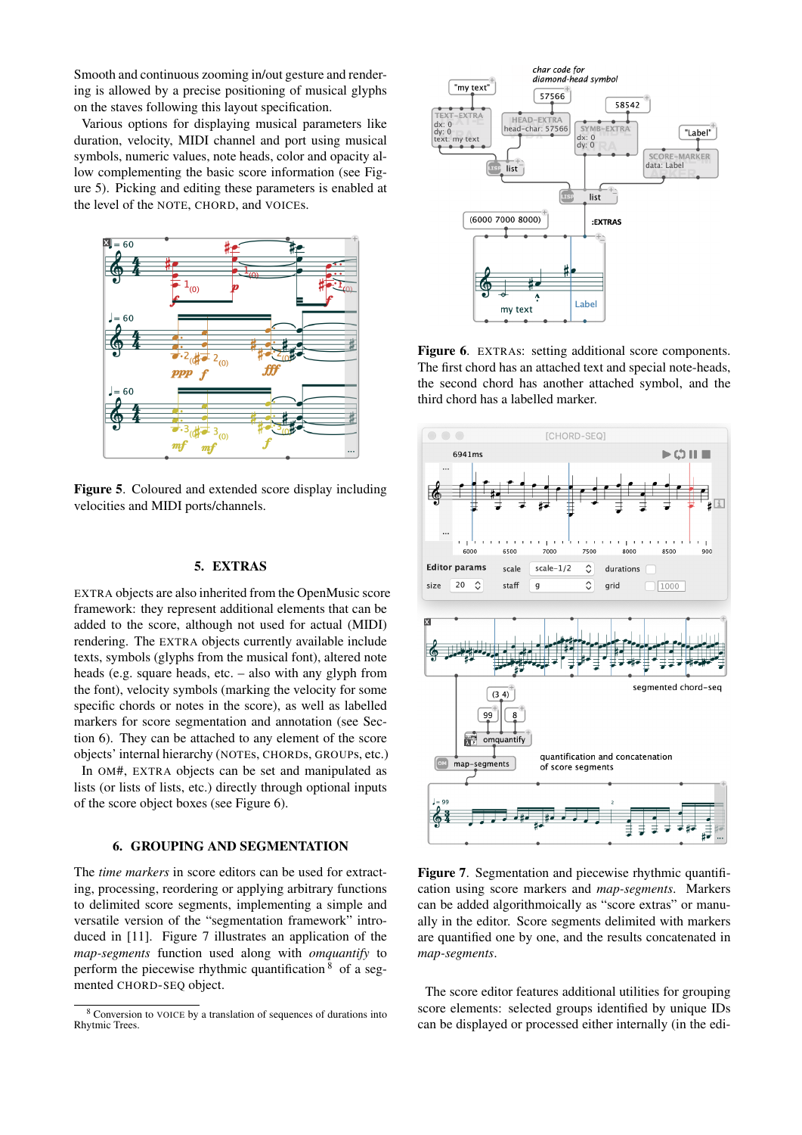Smooth and continuous zooming in/out gesture and rendering is allowed by a precise positioning of musical glyphs on the staves following this layout specification.

Various options for displaying musical parameters like duration, velocity, MIDI channel and port using musical symbols, numeric values, note heads, color and opacity allow complementing the basic score information (see Figure [5\)](#page-2-0). Picking and editing these parameters is enabled at the level of the NOTE, CHORD, and VOICEs.

<span id="page-2-0"></span>

Figure 5. Coloured and extended score display including velocities and MIDI ports/channels.

## 5. EXTRAS

EXTRA objects are also inherited from the OpenMusic score framework: they represent additional elements that can be added to the score, although not used for actual (MIDI) rendering. The EXTRA objects currently available include texts, symbols (glyphs from the musical font), altered note heads (e.g. square heads, etc. – also with any glyph from the font), velocity symbols (marking the velocity for some specific chords or notes in the score), as well as labelled markers for score segmentation and annotation (see Section [6\)](#page-2-1). They can be attached to any element of the score objects' internal hierarchy (NOTEs, CHORDs, GROUPs, etc.)

In OM#, EXTRA objects can be set and manipulated as lists (or lists of lists, etc.) directly through optional inputs of the score object boxes (see Figure [6\)](#page-2-2).

## 6. GROUPING AND SEGMENTATION

<span id="page-2-1"></span>The *time markers* in score editors can be used for extracting, processing, reordering or applying arbitrary functions to delimited score segments, implementing a simple and versatile version of the "segmentation framework" introduced in [\[11\]](#page-4-10). Figure [7](#page-2-3) illustrates an application of the *map-segments* function used along with *omquantify* to perform the piecewise rhythmic quantification  $8$  of a segmented CHORD-SEQ object.

<span id="page-2-2"></span>

Figure 6. EXTRAS: setting additional score components. The first chord has an attached text and special note-heads, the second chord has another attached symbol, and the third chord has a labelled marker.

<span id="page-2-3"></span>

Figure 7. Segmentation and piecewise rhythmic quantification using score markers and *map-segments*. Markers can be added algorithmoically as "score extras" or manually in the editor. Score segments delimited with markers are quantified one by one, and the results concatenated in *map-segments*.

The score editor features additional utilities for grouping score elements: selected groups identified by unique IDs can be displayed or processed either internally (in the edi-

<span id="page-2-4"></span><sup>8</sup> Conversion to VOICE by a translation of sequences of durations into Rhytmic Trees.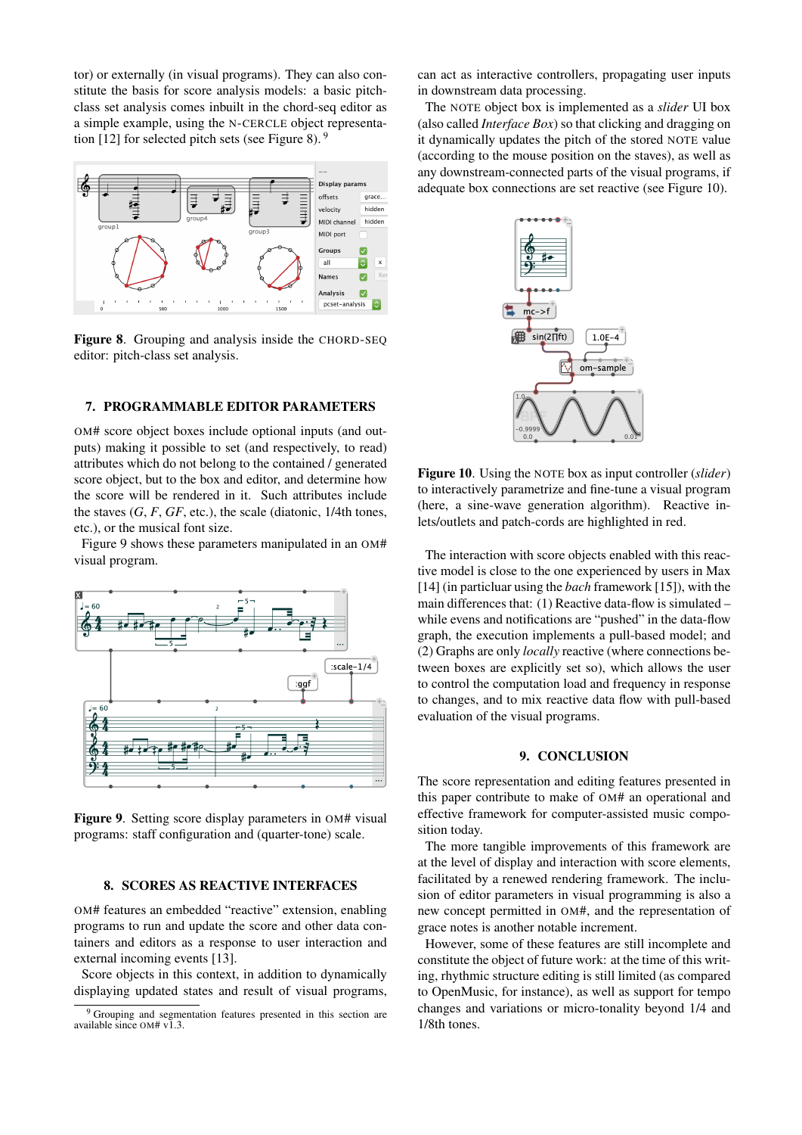tor) or externally (in visual programs). They can also constitute the basis for score analysis models: a basic pitchclass set analysis comes inbuilt in the chord-seq editor as a simple example, using the N-CERCLE object representa-tion [\[12\]](#page-4-11) for selected pitch sets (see Figure [8\)](#page-3-0).  $9$ 

<span id="page-3-0"></span>

Figure 8. Grouping and analysis inside the CHORD-SEQ editor: pitch-class set analysis.

# 7. PROGRAMMABLE EDITOR PARAMETERS

OM# score object boxes include optional inputs (and outputs) making it possible to set (and respectively, to read) attributes which do not belong to the contained / generated score object, but to the box and editor, and determine how the score will be rendered in it. Such attributes include the staves  $(G, F, GF, etc.)$ , the scale (diatonic,  $1/4$ th tones, etc.), or the musical font size.

Figure [9](#page-3-2) shows these parameters manipulated in an OM# visual program.

<span id="page-3-2"></span>

Figure 9. Setting score display parameters in OM# visual programs: staff configuration and (quarter-tone) scale.

#### 8. SCORES AS REACTIVE INTERFACES

OM# features an embedded "reactive" extension, enabling programs to run and update the score and other data containers and editors as a response to user interaction and external incoming events [\[13\]](#page-4-12).

Score objects in this context, in addition to dynamically displaying updated states and result of visual programs, can act as interactive controllers, propagating user inputs in downstream data processing.

The NOTE object box is implemented as a *slider* UI box (also called *Interface Box*) so that clicking and dragging on it dynamically updates the pitch of the stored NOTE value (according to the mouse position on the staves), as well as any downstream-connected parts of the visual programs, if adequate box connections are set reactive (see Figure [10\)](#page-3-3).

<span id="page-3-3"></span>

Figure 10. Using the NOTE box as input controller (*slider*) to interactively parametrize and fine-tune a visual program (here, a sine-wave generation algorithm). Reactive inlets/outlets and patch-cords are highlighted in red.

The interaction with score objects enabled with this reactive model is close to the one experienced by users in Max [\[14\]](#page-4-13) (in particluar using the *bach* framework [\[15\]](#page-4-14)), with the main differences that: (1) Reactive data-flow is simulated – while evens and notifications are "pushed" in the data-flow graph, the execution implements a pull-based model; and (2) Graphs are only *locally* reactive (where connections between boxes are explicitly set so), which allows the user to control the computation load and frequency in response to changes, and to mix reactive data flow with pull-based evaluation of the visual programs.

#### 9. CONCLUSION

The score representation and editing features presented in this paper contribute to make of OM# an operational and effective framework for computer-assisted music composition today.

The more tangible improvements of this framework are at the level of display and interaction with score elements, facilitated by a renewed rendering framework. The inclusion of editor parameters in visual programming is also a new concept permitted in OM#, and the representation of grace notes is another notable increment.

However, some of these features are still incomplete and constitute the object of future work: at the time of this writing, rhythmic structure editing is still limited (as compared to OpenMusic, for instance), as well as support for tempo changes and variations or micro-tonality beyond 1/4 and 1/8th tones.

<span id="page-3-1"></span><sup>&</sup>lt;sup>9</sup> Grouping and segmentation features presented in this section are available since OM# v1.3.